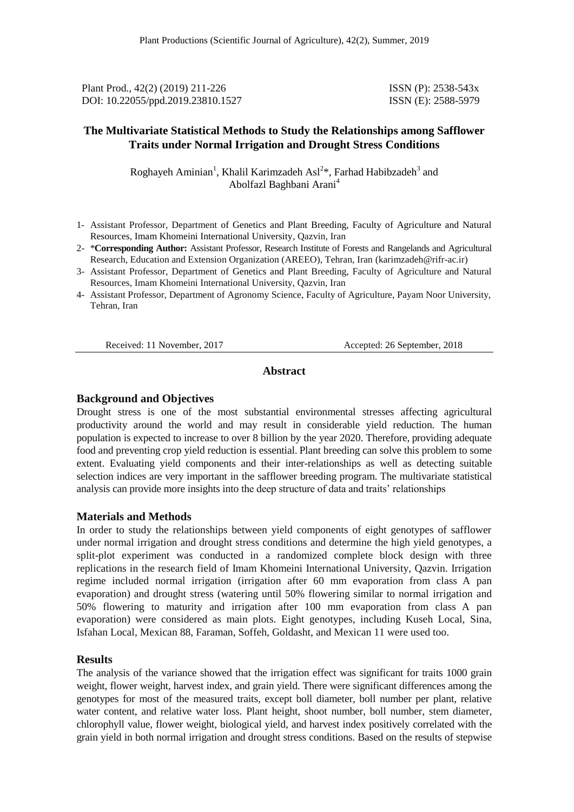Plant Prod., 42(2) (2019) 211-226 ISSN (P): 2538-543x DOI: 10.22055/ppd.2019.23810.1527 ISSN (E): 2588-5979

## **The Multivariate Statistical Methods to Study the Relationships among Safflower Traits under Normal Irrigation and Drought Stress Conditions**

Roghayeh Aminian<sup>1</sup>, Khalil Karimzadeh Asl<sup>2\*</sup>, Farhad Habibzadeh<sup>3</sup> and Abolfazl Baghbani Arani<sup>4</sup>

- 1- Assistant Professor, Department of Genetics and Plant Breeding, Faculty of Agriculture and Natural Resources, Imam Khomeini International University, Qazvin, Iran
- 2- \***Corresponding Author:** Assistant Professor, Research Institute of Forests and Rangelands and Agricultural Research, Education and Extension Organization (AREEO), Tehran, Iran [\(karimzadeh@rifr-ac.ir\)](mailto:karimzadeh@rifr-ac.ir)
- 3- Assistant Professor, Department of Genetics and Plant Breeding, Faculty of Agriculture and Natural Resources, Imam Khomeini International University, Qazvin, Iran
- 4- Assistant Professor, Department of Agronomy Science, Faculty of Agriculture, Payam Noor University, Tehran, Iran

Received: 11 November, 2017 Accepted: 26 September, 2018

#### **Abstract**

#### **Background and Objectives**

Drought stress is one of the most substantial environmental stresses affecting agricultural productivity around the world and may result in considerable yield reduction. The human population is expected to increase to over 8 billion by the year 2020. Therefore, providing adequate food and preventing crop yield reduction is essential. Plant breeding can solve this problem to some extent. Evaluating yield components and their inter-relationships as well as detecting suitable selection indices are very important in the safflower breeding program. The multivariate statistical analysis can provide more insights into the deep structure of data and traits' relationships

#### **Materials and Methods**

In order to study the relationships between yield components of eight genotypes of safflower under normal irrigation and drought stress conditions and determine the high yield genotypes, a split-plot experiment was conducted in a randomized complete block design with three replications in the research field of Imam Khomeini International University, Qazvin. Irrigation regime included normal irrigation (irrigation after 60 mm evaporation from class A pan evaporation) and drought stress (watering until 50% flowering similar to normal irrigation and 50% flowering to maturity and irrigation after 100 mm evaporation from class A pan evaporation) were considered as main plots. Eight genotypes, including Kuseh Local, Sina, Isfahan Local, Mexican 88, Faraman, Soffeh, Goldasht, and Mexican 11 were used too.

#### **Results**

The analysis of the variance showed that the irrigation effect was significant for traits 1000 grain weight, flower weight, harvest index, and grain yield. There were significant differences among the genotypes for most of the measured traits, except boll diameter, boll number per plant, relative water content, and relative water loss. Plant height, shoot number, boll number, stem diameter, chlorophyll value, flower weight, biological yield, and harvest index positively correlated with the grain yield in both normal irrigation and drought stress conditions. Based on the results of stepwise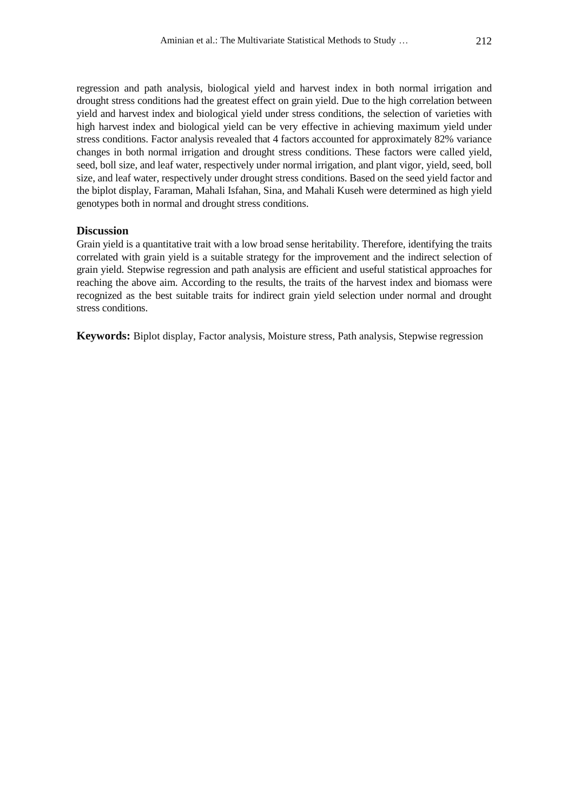regression and path analysis, biological yield and harvest index in both normal irrigation and drought stress conditions had the greatest effect on grain yield. Due to the high correlation between yield and harvest index and biological yield under stress conditions, the selection of varieties with high harvest index and biological yield can be very effective in achieving maximum yield under stress conditions. Factor analysis revealed that 4 factors accounted for approximately 82% variance changes in both normal irrigation and drought stress conditions. These factors were called yield, seed, boll size, and leaf water, respectively under normal irrigation, and plant vigor, yield, seed, boll size, and leaf water, respectively under drought stress conditions. Based on the seed yield factor and the biplot display, Faraman, Mahali Isfahan, Sina, and Mahali Kuseh were determined as high yield genotypes both in normal and drought stress conditions.

#### **Discussion**

Grain yield is a quantitative trait with a low broad sense heritability. Therefore, identifying the traits correlated with grain yield is a suitable strategy for the improvement and the indirect selection of grain yield. Stepwise regression and path analysis are efficient and useful statistical approaches for reaching the above aim. According to the results, the traits of the harvest index and biomass were recognized as the best suitable traits for indirect grain yield selection under normal and drought stress conditions.

**Keywords:** Biplot display, Factor analysis, Moisture stress, Path analysis, Stepwise regression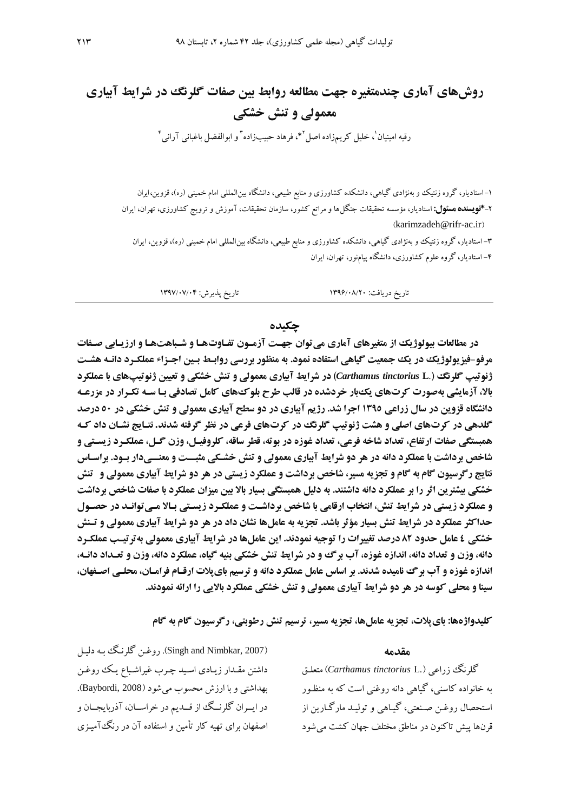# **روشهای آماری چندمتغیره جهت مطالعه روابط بین صفات گلرنگ در شرایط آبیاری** معمولی و تنش خش*ک*ی

رقیه امینیان<sup>י</sup>، خلیل کریمزاده اصل<sup>۲</sup>\*، فرهاد حبیبزاده<sup>۳</sup> و ابوالفضل باغبانی آرانی<sup>۲</sup>

-1 استادیار، گروه زنتیک و بهنژادی گیاهی، دانشکده کشاورزی و منابع طبیعی، دانشگاه بینالمللی امام خمینی )ره(، قزوین، ایران -4**\*نویسندهمسئول:**استادیار، مؤسسه تحقیقات جنگلها و مراتع کشور، سازمان تحقیقات، آموزش و ترویج کشاورزی، تهران، ایران  $(karimzadeh@rifr-ac.ir)$  $(karimzadeh@rifr-ac.ir)$  $(karimzadeh@rifr-ac.ir)$ 

-2 استادیار، گروه زنتیک و بهنژادی گیاهی، دانشکده کشاورزی و منابع طبیعی، دانشگاه بینالمللی امام خمینی )ره(، قزوین، ایران -2 استادیار، گروه علوم کشاورزی، دانشگاه پیامنور، تهران، ایران

تاریخ دریافت: 1281/29/42 تاریخ پذیرش: 1280/20/22

#### **چکیده**

**در مطالعات پیولوژیک از متغیرهای آماری می توان جهت آزمـون تفـاوتهـا و شـباهتهـا و ارزیـابی صـفات مرفو-فیزیولوژیکدریکجمعیتگیاهیاستفادهنمود. بهمنظوربررسیروابتط بتین اجتزا عملکترد دانته هشتت ژنوتیپ گلرنگ )**.**L** *tinctorius Carthamus* **)درشرایطآبیاریمعمولیوتنشخشکیوتعیینژنوتیپهایباعملکرد بالا، آزمایشی بهصورت کرتهای یک**بار خردشده در قالب طرح بلوکهای کامل تصادفی بـا سـه تکـرار در مزرعـه **دانشگاه قزوین در سال زراعی ۱۳۹**0 اجرا شد. رژیم آبیاری در دو سطح آبیاری معمولی و تنش خشکی در ٥٠ درصد **گلدهی در کرتهای اصلی و هشت ژنوتیپ گلرنگ در کرتهای فرعی در نظر گرفته شدند. نتـایج نشـان داد کـه** همبستگی صفات ارتفاع، تعداد شاخه فرعی، تعداد غوزه در بوته، قطر ساقه، کلروفیـل، وزن گـل، عملکـرد زیسـتی و **شاخص برداشت با عملکرد دانه در هر دو شرایط آبیاری معمولی و تنش خشـکی مثبــت و معنــیدار بـود. براسـاس نتایج رگرسیون گام به گام و تجزیه مسیر، شاخص برداشت و عملکرد زیستی در هر دو شرایط آبیاری معمولی و تنش خشکی بیشترین اثر را بر عملکرد دانه داشتند. به دلیل همبستگی بسیار بالا بین میزان عملکرد با صفات شاخص برداشت و عملکرد زیستی در شرایط تنش، انتخاب ارقامی با شاخص برداشت و عملک رد زیستی بالا مـی توانـد در حصـول** حداکثر عملکرد در شرایط تنش بسیار مؤثر باشد. تجزیه به عاملها نشان داد در هر دو شرایط آبیاری معمولی و تـنش **خشکی ٤ عامل حدود ٨٢ درصد تغییرات را توجیه نمودند. این عاملها در شرایط آبیاری معمولی بهترتیـب عملکـرد دانه، وزن و تعداد دانه، اندازه غوزه، آب برگ و در شرایط تنش خشکی بنیه گیاه، عملکرد دانه، وزن و تعـداد دانـه،** اندازه غوزه و آب برگ نامیده شدند. بر اساس عامل عملکرد دانه و ترسیم بای پلات ارق**ام فرام**ان، محلـی اصـفهان، **سینا و محلی کوسه در هر دو شرایط آبیاری معمولی و تنش خشکی عملکرد بالایی را ارائه نمودند.** 

**کلیدواژهها: بای یلات، تجزیه عاملها، تجزیه مسیر، ترسیم تنش رطوبتی، رگرسیون گام به گام** 

#### **مقدمه**

گلرنگ زراعی ).L *tinctorius Carthamus* )متعلق به خانواده کاسنی، گیاهی دانه روغنی است که به منظقور استحصال روغـن صـنعتی، گیـاهی و تولیـد مارگـارین از قرنها پیش تاکنون در مناطق مختلف جهان کشت می شود

)2007 ,Nimbkar and Singh). روغقن گلرنقگ بقه دلیقل داشتن مقـدار زیـادی اسـید چـرب غیراشـباع یـک روغـن بهداشتی و با ارزش محسو میشود )<sup>2008</sup> ,Baybordi). در ایسران گلرنسگ از قسدیم در خراسـان، آذربایجــان و اصفهان برای تهیه کارتأمین و استفاده آن در رنگآمیقزی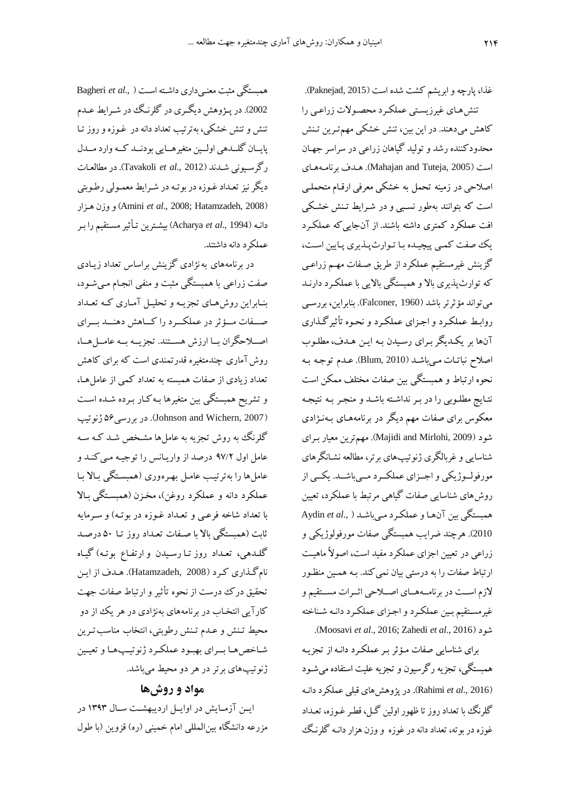غذا، پارچهو ابریشم کشت شده است )2015 ,Paknejad). تنشهای غیرزیستی عملکرد محصولات زراعبی را کاهش میدهند. در این بین، تنش خشکی مهمتقرین تقنش محدودکننده رشد و تولید گیاهان زراعی در سراسر جهقان است )2005 ,Tuteja and Mahajan). هقد برنامقه هقای اصالحی در زمینه تحمل به خشکی معرفی ارققام متحملقی است که بتوانند بهطور نسبی و در شـرایط تـنش خشـکی افت عملکرد کمتری داشته باشند. از آنجاییکه عملکقرد یک صفت کمبی پیچیده با توارثپذیری پایین است، گزینش غیرمستقیم عملکرد از طریق صـفات مهـم زراعـی که توارثپذیری بالا و همبستگی بالایی با عملکرد دارنـد میتواند مؤثرتر باشد )1960 ,Falconer). بنابراین، بررسقی روابق عملکقرد واجقزای عملکقرد و نحقوه تأثیرگقذاری آنها بر یکدیگر برای رسیدن به این هدف، مطلوب اصالح نباتقات مق یباشقد )2010 ,Blum).عقدم توجقه بقه نحوه ارتباط و همبستگی بین صفات مختلف ممکن است نتایج مطلـوبی را در بـر نداشـته باشـد و منجـر بـه نتیجـه معکوس برای صفات مهم دیگر در برنامههـای بـهنـژادی شود (2009 ,Majidi and Mirlohi). مهم ترین معیار بیرای شناسایی و غربالگری ژنوتیپهای برتر، مطالعه نشقانگرهای مورفولــوژیکی و اجــزای عملکــرد مــی باشــد. یکــی از روش های شناسایی صفات گیاهی مرتبط با عملکرد، تعیین همبستگی بین آنهقا و عملکقرد مقی باشقد ) .,*al et* Aydin <sup>2010</sup>(. هرچند ضرایب همبستگی صفات مورفولوژیکی و زراعی در تعیین اجزای عملکرد مفید است، اصوزً ماهیقت ارتباط صفات را به درستی بیان نمیکند. بـه همـین منظـور ززم اسققت در برنامققههققای اصققالحی اثققرات مسققتقیم و غیرمستقیم بـین عملکـرد و اجـزای عملکـرد دانـه شـناخته .)Moosavi *et al*., 2016; Zahedi *et al*., 2016( شود

برای شناسایی صفات مقؤثر بقر عملکقرد دانقه از تجزیقه همبستگی، تجزیه رگرسیون و تجزیه علیت استفاده میشقود )2016 .,*al et* Rahimi). در پژوهشهای قبلی عملکرد دانقه گلرنگ با تعداد روز تا ظهور اولین گـل، قطـر غـوزه، تعـداد غوزهدربوته، تعداددانهدرغوزه ووزن هزاردانقه گلرنقگ

همبستگی مثبت معنقی داری داشقته اسقت ) .,*al et* Bagheri 2002). در پـژوهش دیگـری در گلرنـگ در شـرایط عـدم تنش و تنش خشکی، بهترتیب تعداددانهدر غقوزه وروزتقا پایسان گلسدهی اولـین متغیرهـایی بودنــد کــه وارد مــدل رگرسقیونی شقدند )2012 .,*al et* Tavakoli).در مطالعقات دیگر نیز تعـداد غـوزه در بوتـه در شـرایط معمـولی رطـوبتی هقزار وزن و(Amini *et al*., 2008; Hatamzadeh, 2008( دانقه ) 1994 .,*al et* Acharya )بیشقترین تقأثیر مسقتقیم را بقر عملکر د دانه داشتند.

در برنامههای بهنژادی گزینش براساس تعداد زیقادی صفت زراعی با همبستگی مثبت و منفی انجـام مـیشـود، بنـابراین روشههای تجزیــه و تحلیــل آمــاری کــه تعــداد صفات مسؤثر در عملک درا کساهش دهنسد بسرای اصلاحگران با ارزش هستند. تجزیــه بــه عامــلهــا، روشآماری چندمتغیره قدرتمندی است که برای کاهش تعداد زیادی از صفات همبسته به تعداد کمی از عاملهقا ، و تشریح همبستگی بین متغیرها بـهکار بـرده شـده اسـت در بررسی 66 ژنوتیپ). (Johnson and Wichern, 2007). در بررسی گلرنگ به روش تجزیه به عاملها مشخص شـد کـه سـه عامل اول ۹۷/۲ درصد از واریانس را توجیه می کنـد و عامل ها را بهتر تیب عامل بهره وری (همبستگی بالا با عملکرد دانه و عملکرد روغن)، مخـزن (همبسـتگی بـالا با تعداد شاخه فرعبی و تعـداد غـوزه در بوتـه) و سـرمایه ثابت )همبستگی باز با صقفات تعقداد روز تقا 62 درصقد گلـدهی، تعـداد روز تـا رسـیدن و ارتفـاع بوتـه) گیـاه نامگذاری کرد (Hatamzadeh, 2008). هدف از این تحقیق درک درست از نحوه تأثیر و ارتباط صفات جهت کارآیی انتخـاب در برنامههای بهنژادی در هر یک از دو محیط تـنش و عـدم تـنش رطوبتی، انتخاب مناسب تـرین شاخص هـا بــرای بهبـود عملکـرد ژنوتیــپهـا و تعیـین ژنوتیپهای برتر در هر دو محیط میباشد.

## **موادوروشها**

ایس آزمایش در اوایل اردیبهشت سال ۱۳۹۳ در مزرعه دانشگاه بین|لمللی امام خمینی (ره) قزوین (با طول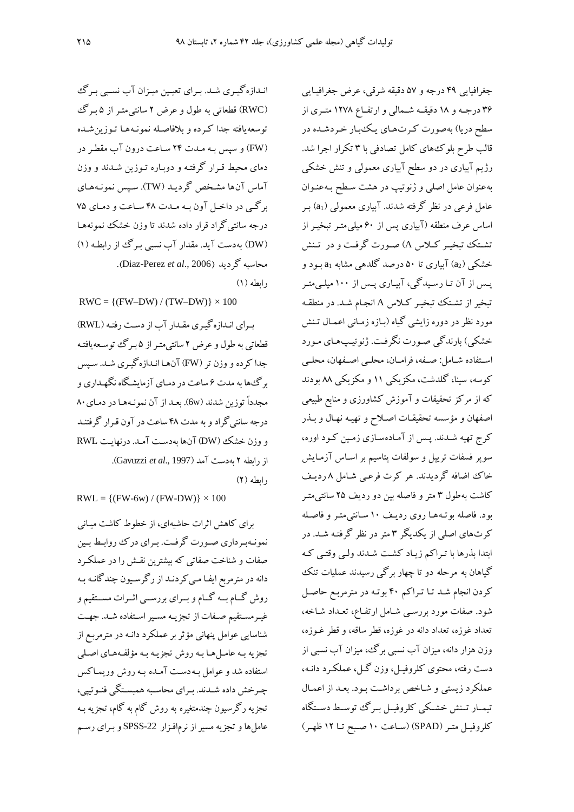انـدازهگیـری شـد. بـرای تعیـین میـزان آب نسـبی بـرگئ )RWC )قطعاتی به طول و عرض 4 سانتیمتقر از 6 بقرگ توسعه یافته جدا کـرده و بلافاصـله نمونـههـا تـوزین شـده (FW) و سپس بـه مـدت ٢۴ سـاعت درون آب مقطـر در دمای محیط قـرار گرفتـه و دوبـاره تـوزین شـدند و وزن آماس آنها مشخص گردیـد (TW). سـپس نمونـههـای برگقی در داخقل آون بقه مقدت 29 سقاعت و دمقای 06 درجه سانتیگراد قرار داده شدند تا وزن خشک نمونههقا (DW) بهدست آید. مقدار آب نسبی بـرگ از رابطـه (۱) .)Diaz-Perez *et al*., 2006( گردید محاسبه

 $(1)$  رابطه

 $RWC = \{(FW-DW) / (TW-DW)\} \times 100$ 

برای اندازه گیری مقدار آب از دست رفته (RWL) قطعاتی به طول و عرض 4 سانتیمتقر از 6 بقرگ توسقعه یافتقه جدا کرده و وزن تر (FW) آنها انـدازهگیـری شـد. سـیس برگ ها به مدت ۶ ساعت در دمـای آزمایشگاه نگهـداری و مجدداً توزین شدند (6w). بعـد از آن نمونـههـا در دمـای ۸۰ درجه سانتیگرادو به مدت 29 ساعت در آون ققرار گرفتنقد و وزن خشک )DW )آنها بهدسقت آمقد. در نهایقت RWL از رابطه 4 بهدست آمد )1997 .,*al et* Gavuzzi). رابطه (٢)

 $RWL = \{(FW-6w) / (FW-DW)\} \times 100$ 

برای کاهش اثرات حاشیهای، از خطوط کاشت میقانی نمونهبرداری صورت گرفت. بـرای درک روابـط بـین صفات و شناخت صفاتی که بیشترین نققش رادرعملکقرد دانه در مترمربع ایفـا مـي کردنـد از رگرسـيون چندگانـه بـه روش گــام بــه گــام و بــرای بررســی اثــرات مســتقیم و غیرمستقیم صفات از تجزیـه مسـیر اسـتفاده شـد. جهـت شناسایی عوامل پنهانی مؤثر برعملکرد دانقه در مترمربقع از تجزیه بـه عامـل هـا بـه روش تجزیـه بـه مؤلفـههـاي اصـلي استفاده شد و عوامل به دست آمـده بـه روش وریمـاکس چرخش داده شـدند. بـرای محاسـبه همبسـتگی فنـوتیپی، تجزیه رگرسیون چندمتغیره به روش گام به گام، تجزیه بـه عاملها و تجزیه مسیر از نرمافزار 22-SPSS و بـرای رسـم

جغرافیایی ۴۹ درجه و ۵۷ دقیقه شرقی، عرض جغرافیایی ۳۶ درجـه و ۱۸ دقیقـه شـمالی و ارتفـاع ۱۲۷۸ متـری از سطح دریا) بهصورت کرتهای یک بار خردشده در قالب طرح بلوکهای کامل تصادفی با 2 تکرار اجرا شد. رژیم آبیاری در دو سطح آبیاری معمولی و تنش خشکی بهعنوان عامل اصلی و ژنوتیپ در هشت سقطح بقه عنقوان عامل فرعی در نظر گرفته شدند. آبیاری معمولی (a1) بـر اساس عرف منطقه (آبیاری پس از ۶۰ میلی متـر تبخیـر از تشتک تبخیـر کـلاس A) صـورت گرفـت و در تـنش خشکی )2a )آبیاری تا 62 درصد گلدهی مشابه 1<sup>a</sup> بقود و پس از آن تـا رسـیدگی، آبیـاری پـس از ۱۰۰ میلـیمتـر تبخیر از تشتک تبخیر کلاس A انجام شد. در منطقه مورد نظر در دوره زایشی گیاه (بـازه زمـانی اعمـال تـنش خشکی) بارندگی صورت نگرفت. ژنوتیپهای مورد استفاده شـامل: صـفه، فرامـان، محلـی اصـفهان، محلـی کوسه، سینا، گلدشت، مکزیکی 11 و مکزیکی 99 بودند که از مرکز تحقیقات و آموزش کشاورزی و منابع طبیعی اصفهان و مؤسسه تحقیقـات اصـلاح و تهیـه نهـال و بـذر کرج تهیه شـدند. پـس از آمـادهسـازی زمـین کـود اوره، سوپر فسفات تریپل و سولفات پتاسیم بر اسـاس آزمـایش خاک اضافه گردیدند. هر کرت فرعبی شـامل ۸ ردیـف کاشت بهطول 2 متر و فاصله بین دو ردیف 46 سانتیمتقر بود. فاصله بوتـههـا روی ردیـف ۱۰ سـانتیمتـر و فاصـله کرتهای اصلی از یکدیگر 2 متر در نظر گرفتقه شقد. در ابتدا بذرها با تـراکم زیـاد کشـت شـدند ولـی وقتـی کـه گیاهان به مرحله دو تا چهار برگی رسیدند عملیات تنک کردن انجام شد تـا تـراکم ۴۰ بوتـه در مترمربـع حاصـل شود. صفات مورد بررسی شـامل ارتفـاع، تعـداد شـاخه، تعداد غوزه، تعداد دانه در غوزه، قطر ساقه، و قطر غقوزه، وزن هزار دانه، میزان آب نسبی برگ، میزان آب نسبی از دست رفته، محتوی کلروفیل، وزن گل، عملکرد دانـه، عملکرد زیستی و شاخص برداشت بود. بعد از اعمال تیمبار تسنش خشکی کلروفیـل بـرگ توسـط دسـتگاه کلروفیل متر (SPAD) (ساعت ١٠ صبح تبا ١٢ ظهر)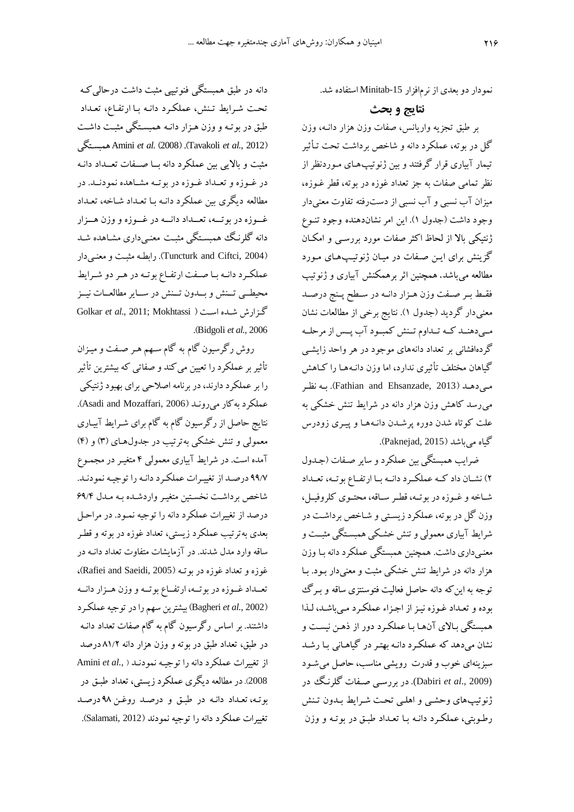دانه در طبق همبستگی فنوتیپی مثبت داشت درحالی ک تحت شرایط تنش، عملکرد دانـه بـا ارتفـاع، تعـداد طبق در بوتـه و وزن هـزار دانـه همبسـتگی مثبـت داشـت همبسقتگی Amini *et al.* )2008( .)Tavakoli *et al.*, 2012( مثبت و بالایی بین عملکرد دانه با صـفات تعــداد دانـه در غــوزه و تعــداد غــوزه در بوتــه مشــاهده نمودنــد. در مطالعه دیگری بین عملکرد دانـه بـا تعـداد شـاخه، تعـداد غــوزه در بوتـــه، تعــداد دانـــه در غــوزه و وزن هــزار دانه گلرنگ همبستگی مثبت معنبیداری مشاهده شد )2004 ,Ciftci and Tuncturk).رابطقه مثبقت و معنقی دار عملکرد دانـه بـا صـفت ارتفـاع بوتـه در هـر دو شـرایط محیطــی تــنش و بــدون تــنش در ســایر مطالعــات نیــز Golkar *et al*., 2011; Mokhtassi ( اسقت شقده گقزارش .)Bidgoli *et al.*, 2006

روش رگرسیون گام به گام سـهم هـر صـفت و میـزان تأثیربرعملکردرا تعیین میکند و صفاتی که بیشترین تأثیر را برعملکرددارند،در برنامه اصالحی برای بهبودژنتیکی .)Asadi and Mozaffari, 2006 ( بهکارمیرونقد عملکرد نتایج حاصل از رگرسیون گام به گام برای شقرای آبیقاری معمولی و تنش خشکی بهترتیب در جدولهقای )2( و )2( آمده است. در شرایط آبیاری معمولی ۴ متغیـر در مجمـوع ۹۹/۷ درصد از تغییرات عملکرد دانـه را توجیـه نمودنـد. شاخص برداشت نخستین متغیر واردشده بـه مـدل ۶۹/۴ درصد از تغییرات عملکرد دانه را توجیه نمقود. در مراحقل بعدی بهترتیب عملکرد زیستی، تعداد غوزه در بوته و قطقر ساقه وارد مدل شدند. در آزمایشات متفاوت تعداددانقه در ،)Rafiei and Saeidi, 2005 ( بوتقه غوزهوتعدادغوزهدر تعـداد غــوزه در بوتــه، ارتفــاع بوتــه و وزن هــزار دانــه )2002 *.*,*al et* Bagheri )بیشترین سهم رادرتوجیهعملکقرد داشتند. بر اساس رگرسیون گام به گام صفات تعداد دانقه در طبق، تعداد طبق در بوته و وزن هزار دانه ۸۱/۲ درصد از تغییرات عملکرد دانهرا توجیقه نمودنقد ) *.*,*al et* Amini <sup>2008</sup>(. در مطالعه دیگری عملکرد زیستی، تعداد طبق در بوتقه، تعقداد دانقه در طبق و درصقد روغقن 89 درصقد تغییرات عملکرد دانه را توجیه نمودند )2012 ,Salamati).

نمودار دو بعدی ازنرمافزار -15Minitab استفاده شد.

## **نتای وبیث**

بر طبق تجزیه واریانس، صفات وزن هزار دانـه، وزن گل در بو ته، عملکرد دانه و شاخص برداشت تحت تـأثیر تیمار آبیاری قرار گرفتند و بین ژنوتیپهقای مقوردنظر از نظر تمامی صفات به جز تعداد غوزه در بوته، قطر غقوزه، میزان آب نسبی و آب نسبی از دست رفته تفاوت معنیدار وجود داشت )جدول 1(. این امر نشاندهنده وجود تنقوی ژنتیکی باز از لحاظ اکثر صفات مورد بررسقی و امکقان گزینش برای ایـن صـفات در میـان ژنوتیـپمـای مـورد مطالعه میباشد. همینین اثر برهمکنش آبیاری و ژنوتیپ فقيط بير صيفت وزن هيزار دانيه در سيطح پينج درصيد معنیدار گردید )جدول 1(. نتایج برخی از مطالعات نشان ممیدهنمد کمه تمداوم تمنش کمبمود آب پمس از مرحلمه گردهافشانی بر تعداد دانههای موجود در هر واحد زایشقی گیاهان مختلف تأثیری ندارد، اما وزن دانـههـا را کـاهش مقیدهقد )2013 ,Ehsanzade and Fathian). بقه نظقر میرسد کاهش وزن هزار دانه در شرایط تنش خشکی به علت کوتاه شدن دوره پرشـدن دانـههـا و پیـری زودرس گیاه می باشد (Paknejad, 2015).

ضرایب همبستگی بین عملکرد و سایر صقفات )جقدول ۲) نشـان داد کـه عملکـرد دانـه بـا ارتفـاع بوتـه، تعـداد شـاخه و غــوزه در بوتــه، قطـر ســاقه، محتــوی کلروفیــل، وزن گل در بوته، عملکرد زیستی و شـاخص برداشـت در شرایط آبیاری معمولی و تنش خشکی همبستگی مثبت و معنـیداری داشت. همچنین همبستگی عملکرد دانه بـا وزن هزار دانه در شرایط تنش خشکی مثبت و معنیدار بـود. بـا توجه به این که دانه حاصل فعالیت فتوسنتزی ساقه و بـرگ بوده و تعـداد غـوزه نیـز از اجـزاء عملکـرد مـی باشـد، لـذا همبستگی بـالای آنهـا بـا عملکـرد دور از ذهـن نیسـت و نشان میدهد که عملکرد دانـه بهتـر در گیاهـانی بـا رشـد سبزینهای خوب و قدرت رویشی مناسب، حاصل می شبود (2009 .,*al et* Dabiri(. در بررسقی صقفات گلرنقگ در ژنوتیپهای وحشی و اهلبی تحت شرایط بـدون تـنش رطوبتی، عملکرد دانـه بـا تعـداد طبـق در بوتـه و وزن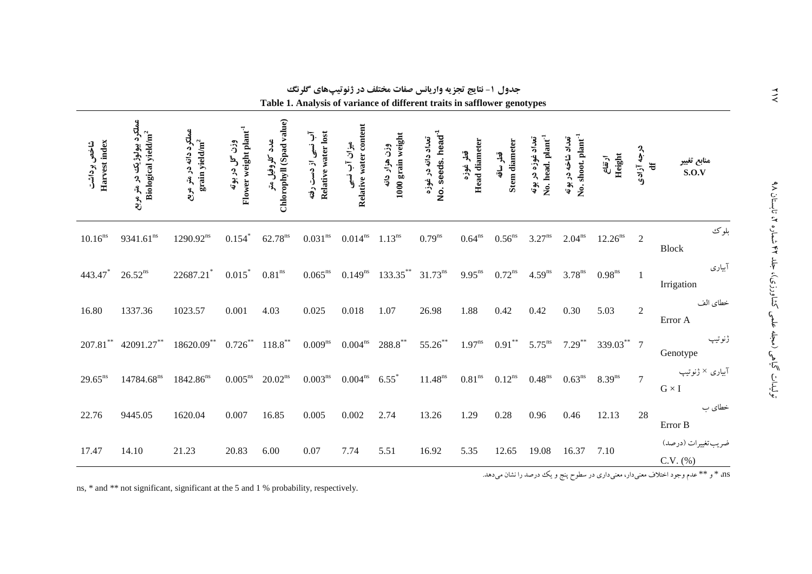| Harvest index<br>شاخص برداشت | عملکرد بیولوژیک در متر مربع<br>Biological yield/m <sup>2</sup> | عملکرد دانه در متر مربع<br>grain yield/m <sup>2</sup> | Flower weight plant <sup>-1</sup><br>وزن گل در بوته | Chlorophyll (Spad value)<br>٩ś<br>كلروفيل متر | Relative water lost<br>آب نسبی از دست رفته | Relative water content<br>میزان آب نسبی | 1000 grain weight<br>وزن هزار دانه | No. seeds. head <sup>-1</sup><br>تعداد دانه در غوزه | <b>Head diameter</b><br>قطر غوزه | Stem diameter<br>$\mathfrak{h}$<br>نى<br>ۋ | No. head. plant <sup>-1</sup><br>تعداد غوزه در<br>بو به<br>په | No. shoot. plant <sup>-1</sup><br>تعداد شاخه در بوته | Height<br>ارتفاع     | درجه آزادی<br>$\ddot{a}$ | منابع تغيير<br>S.O.V              |
|------------------------------|----------------------------------------------------------------|-------------------------------------------------------|-----------------------------------------------------|-----------------------------------------------|--------------------------------------------|-----------------------------------------|------------------------------------|-----------------------------------------------------|----------------------------------|--------------------------------------------|---------------------------------------------------------------|------------------------------------------------------|----------------------|--------------------------|-----------------------------------|
| $10.16^{ns}$                 | $9341.61^{ns}$                                                 | $1290.92^{ns}$                                        | 0.154                                               | 62.78 <sup>ns</sup>                           | $0.031^{\rm ns}$                           | $0.014$ <sup>ns</sup>                   | $1.13^{ns}$                        | $0.79$ <sup>ns</sup>                                | $0.64$ <sup>ns</sup>             | $0.56^{\rm ns}$                            | $3.27$ <sup>ns</sup>                                          | $2.04^{ns}$                                          | 12.26 <sup>ns</sup>  | 2                        | بلوك<br><b>Block</b>              |
| 443.47                       | $26.52^{ns}$                                                   | 22687.21*                                             | 0.015                                               | $0.81^{\rm ns}$                               | $0.065^{ns}$                               | $0.149^{ns}$                            | 133.35**                           | $31.73^{ns}$                                        | $9.95^{ns}$                      | $0.72^{ns}$                                | 4.59 <sup>ns</sup>                                            | $3.78$ <sup>ns</sup>                                 | $0.98$ <sup>ns</sup> | 1                        | آبياري<br>Irrigation              |
| 16.80                        | 1337.36                                                        | 1023.57                                               | 0.001                                               | 4.03                                          | 0.025                                      | 0.018                                   | 1.07                               | 26.98                                               | 1.88                             | 0.42                                       | 0.42                                                          | 0.30                                                 | 5.03                 | $\mathbf{2}$             | خطاي الف<br>Error A               |
| $207.81***$                  | 42091.27**                                                     | $18620.09***$                                         | $0.726***$                                          | $118.8***$                                    | $0.009$ <sup>ns</sup>                      | $0.004^{\rm ns}$                        | $288.8***$                         | $55.26***$                                          | $1.97$ <sup>ns</sup>             | $0.91***$                                  | $5.75$ <sup>ns</sup>                                          | $7.29^{**}$                                          | 339.03** 7           |                          | ژنوتيپ<br>Genotype                |
| $29.65^{ns}$                 | 14784.68 <sup>ns</sup>                                         | $1842.86^{ns}$                                        | $0.005^{\rm ns}$                                    | $20.02^{ns}$                                  | $0.003^{\rm ns}$                           | 0.004 <sup>ns</sup>                     | $6.55^*$                           | $11.48^{ns}$                                        | $0.81^{\rm ns}$                  | $0.12^{\rm ns}$                            | $0.48$ <sup>ns</sup>                                          | $0.63$ <sup>ns</sup>                                 | 8.39 <sup>ns</sup>   | $\tau$                   | آبیاری × ژنوتیپ<br>$G\times I$    |
| 22.76                        | 9445.05                                                        | 1620.04                                               | 0.007                                               | 16.85                                         | 0.005                                      | 0.002                                   | 2.74                               | 13.26                                               | 1.29                             | 0.28                                       | 0.96                                                          | 0.46                                                 | 12.13                | 28                       | خطای ب<br>Error B                 |
| 17.47                        | 14.10                                                          | 21.23                                                 | 20.83                                               | 6.00                                          | 0.07                                       | 7.74                                    | 5.51                               | 16.92                                               | 5.35                             | 12.65                                      | 19.08                                                         | 16.37                                                | 7.10                 |                          | ضريب تغييرات (درصد)<br>$C.V.$ $%$ |

جدول **۱- نتایج تجزیه واریانس صفات مختلف در ژنوتیپهای گلرنگ** 

**Table 1. Analysis of variance of different traits in safflower genotypes**

ns, \* and \*\* not significant, significant at the 5 and 1 % probability, respectively.

 $\lambda$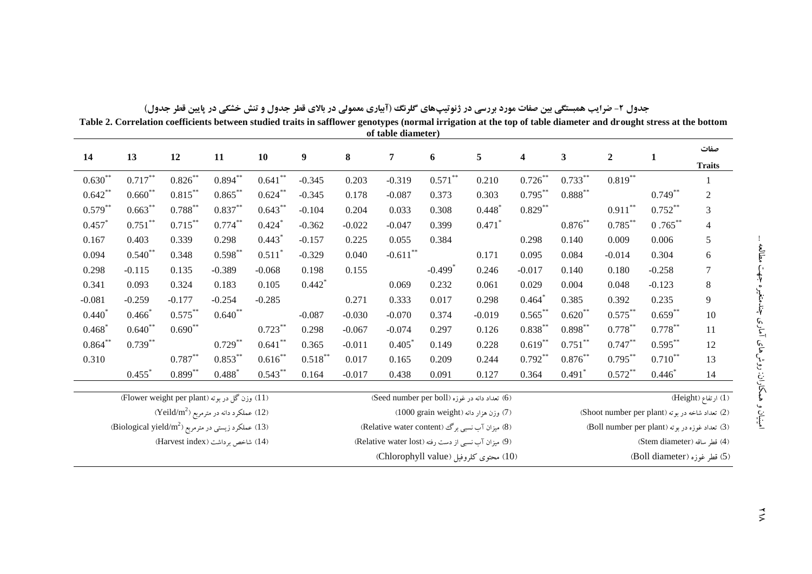|            | Table 2. Correlation coefficients between studied traits in safflower genotypes (normal irrigation at the top of table diameter and drought stress at the bottom<br>of table diameter) |                                                                 |            |                      |                  |                                       |                                                     |                       |                      |            |                              |                                                |                                                 |                       |  |
|------------|----------------------------------------------------------------------------------------------------------------------------------------------------------------------------------------|-----------------------------------------------------------------|------------|----------------------|------------------|---------------------------------------|-----------------------------------------------------|-----------------------|----------------------|------------|------------------------------|------------------------------------------------|-------------------------------------------------|-----------------------|--|
| 14         | 13                                                                                                                                                                                     | 12                                                              | 11         | 10                   | $\boldsymbol{9}$ | 8                                     | 7                                                   | $\boldsymbol{6}$      | 5                    | 4          | $\mathbf{3}$                 | $\overline{2}$                                 | 1                                               | صفات<br><b>Traits</b> |  |
| $0.630**$  | $0.717***$                                                                                                                                                                             | $0.826***$                                                      | $0.894***$ | $0.641$ **           | $-0.345$         | 0.203                                 | $-0.319$                                            | $0.571***$            | 0.210                | $0.726***$ | $0.733**$                    | $0.819***$                                     |                                                 |                       |  |
| $0.642**$  | $0.660**$                                                                                                                                                                              | $0.815***$                                                      | $0.865***$ | $0.624***$           | $-0.345$         | 0.178                                 | $-0.087$                                            | 0.373                 | 0.303                | $0.795***$ | $0.888***$                   |                                                | $0.749***$                                      | $\mathfrak{2}$        |  |
| $0.579***$ | $0.663***$                                                                                                                                                                             | $0.788***$                                                      | $0.837***$ | $0.643***$           | $-0.104$         | 0.204                                 | 0.033                                               | 0.308                 | $0.448*$             | $0.829***$ |                              | $0.911***$                                     | $0.752***$                                      | $\mathfrak{Z}$        |  |
| 0.457      | $0.751***$                                                                                                                                                                             | $0.715***$                                                      | $0.774***$ | 0.424                | $-0.362$         | $-0.022$                              | $-0.047$                                            | 0.399                 | $0.471$ <sup>*</sup> |            | $0.876***$                   | $0.785***$                                     | $0.765***$                                      | $\overline{4}$        |  |
| 0.167      | 0.403                                                                                                                                                                                  | 0.339                                                           | 0.298      | $0.443$ <sup>*</sup> | $-0.157$         | 0.225                                 | 0.055                                               | 0.384                 |                      | 0.298      | 0.140                        | 0.009                                          | 0.006                                           | 5                     |  |
| 0.094      | $0.540**$                                                                                                                                                                              | 0.348                                                           | $0.598**$  | $0.511$ <sup>*</sup> | $-0.329$         | 0.040                                 | $-0.611$ **                                         |                       | 0.171                | 0.095      | 0.084                        | $-0.014$                                       | 0.304                                           | $\boldsymbol{6}$      |  |
| 0.298      | $-0.115$                                                                                                                                                                               | 0.135                                                           | $-0.389$   | $-0.068$             | 0.198            | 0.155                                 |                                                     | $-0.499$ <sup>*</sup> | 0.246                | $-0.017$   | 0.140                        | 0.180                                          | $-0.258$                                        | $\overline{7}$        |  |
| 0.341      | 0.093                                                                                                                                                                                  | 0.324                                                           | 0.183      | 0.105                | $0.442*$         |                                       | 0.069                                               | 0.232                 | 0.061                | 0.029      | 0.004                        | 0.048                                          | $-0.123$                                        | $\,8$                 |  |
| $-0.081$   | $-0.259$                                                                                                                                                                               | $-0.177$                                                        | $-0.254$   | $-0.285$             |                  | 0.271                                 | 0.333                                               | 0.017                 | 0.298                | $0.464*$   | 0.385                        | 0.392                                          | 0.235                                           | 9                     |  |
| $0.440^*$  | $0.466*$                                                                                                                                                                               | $0.575***$                                                      | $0.640**$  |                      | $-0.087$         | $-0.030$                              | $-0.070$                                            | 0.374                 | $-0.019$             | $0.565***$ | $0.620**$                    | $0.575***$                                     | $0.659***$                                      | $10\,$                |  |
| $0.468*$   | $0.640**$                                                                                                                                                                              | $0.690**$                                                       |            | $0.723***$           | 0.298            | $-0.067$                              | $-0.074$                                            | 0.297                 | 0.126                | $0.838***$ | $0.898***$                   | $0.778***$                                     | $0.778***$                                      | 11                    |  |
| $0.864***$ | $0.739***$                                                                                                                                                                             |                                                                 | $0.729***$ | $0.641**$            | 0.365            | $-0.011$                              | 0.405                                               | 0.149                 | 0.228                | $0.619***$ | $0.751***$                   | $0.747**$                                      | $0.595***$                                      | 12                    |  |
| 0.310      |                                                                                                                                                                                        | $0.787**$                                                       | $0.853***$ | $0.616**$            | $0.518***$       | 0.017                                 | 0.165                                               | 0.209                 | 0.244                | $0.792**$  | $0.876***$                   | $0.795***$                                     | $0.710***$                                      | 13                    |  |
|            | 0.455                                                                                                                                                                                  | $0.899***$                                                      | 0.488      | $0.543***$           | 0.164            | $-0.017$                              | 0.438                                               | 0.091                 | 0.127                | 0.364      | 0.491                        | $0.572**$                                      | $0.446*$                                        | 14                    |  |
|            |                                                                                                                                                                                        | (11) وزن گل در بوته (Flower weight per plant)                   |            |                      |                  |                                       | (6) تعداد دانه در غوزه (Seed number per boll)       |                       |                      |            |                              |                                                |                                                 | (1) ارتفاع (Height)   |  |
|            |                                                                                                                                                                                        | $(Yeild/m^2)$ عملکرد دانه در مترمربع ( $(12)$                   |            |                      |                  | (7) وزن هزار دانه (1000 grain weight) |                                                     |                       |                      |            |                              |                                                | (2) تعداد شاخه در بوته (Shoot number per plant) |                       |  |
|            |                                                                                                                                                                                        | (13) عملكرد زيستى در مترمربع (Biological yield/m <sup>2</sup> ) |            |                      |                  |                                       | (8) میزان آب نسبی برگ (Relative water content)      |                       |                      |            |                              | (3) تعداد غوزه در بوته (Boll number per plant) |                                                 |                       |  |
|            |                                                                                                                                                                                        | (14) شاخص برداشت (Harvest index)                                |            |                      |                  |                                       | (9) میزان آب نسبی از دست رفته (Relative water lost) |                       |                      |            | (4) قطر ساقه (Stem diameter) |                                                |                                                 |                       |  |
|            |                                                                                                                                                                                        |                                                                 |            |                      |                  |                                       | (10) محتوى كلروفيل (Chlorophyll value)              |                       |                      |            |                              |                                                | (5) قطر غوزه (Boll diameter)                    |                       |  |

جدول ۲- ضرایب همبستگی بین صفات مورد بررسی در ژنوتیپهای کلرنگ (آبیاری معمولی در بالای فطر جدول و تنش خشکی در پایین فطر جدول)

 $\frac{1}{2}$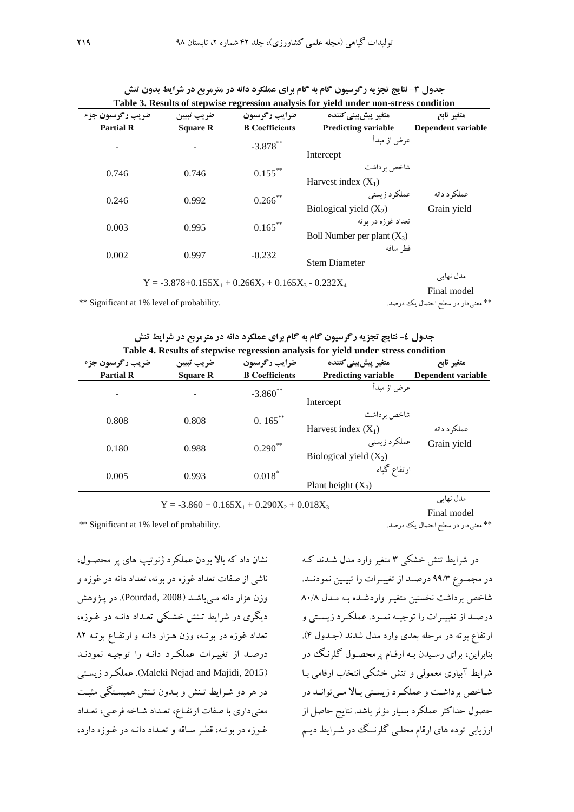| ضريب رگرسيون جزء                           | ضريب تبيين      | ضرايب رگرسيون                                            | متغير ييش ييني كننده          | متغير تابع                         |  |
|--------------------------------------------|-----------------|----------------------------------------------------------|-------------------------------|------------------------------------|--|
| <b>Partial R</b>                           | <b>Square R</b> | <b>B</b> Coefficients                                    | <b>Predicting variable</b>    | Dependent variable                 |  |
|                                            |                 | $-3.878***$                                              | عرض از مىدأ                   |                                    |  |
|                                            |                 |                                                          | Intercept                     |                                    |  |
| 0.746                                      | 0.746           | $0.155***$                                               | شاخص بر داشت                  |                                    |  |
|                                            |                 |                                                          | Harvest index $(X_1)$         |                                    |  |
| 0.246                                      | 0.992           | $0.266$ **                                               | عملکر د زیستی                 | عملکر د دانه                       |  |
|                                            |                 |                                                          | Biological yield $(X_2)$      | Grain yield                        |  |
| 0.003                                      | 0.995           | $0.165***$                                               | تعداد غوزه در ىوتە            |                                    |  |
|                                            |                 |                                                          | Boll Number per plant $(X_3)$ |                                    |  |
| 0.002                                      | 0.997           | $-0.232$                                                 | قط ساقه                       |                                    |  |
|                                            |                 |                                                          | <b>Stem Diameter</b>          |                                    |  |
|                                            |                 | $Y = -3.878 + 0.155X_1 + 0.266X_2 + 0.165X_3 - 0.232X_4$ |                               | مدل نھائے                          |  |
|                                            |                 |                                                          |                               | Final model                        |  |
| ** Significant at 1% level of probability. |                 |                                                          |                               | ** معنى دار در سطح احتمال يك درصد. |  |

| جدول ۳- نتایج تجزیه رگرسیون گام به گام برای عملکرد دانه در مترمربع در شرایط بدون تنش  |  |  |
|---------------------------------------------------------------------------------------|--|--|
| Table 3. Results of stepwise regression analysis for yield under non-stress condition |  |  |

|  | جدول ٤- نتايج تجزيه رگرسيون گام به گام براي عملكرد دانه در مترمربع در شرايط تنش   |  |  |  |  |  |
|--|-----------------------------------------------------------------------------------|--|--|--|--|--|
|  | Table 4. Results of stepwise regression analysis for yield under stress condition |  |  |  |  |  |

| ضريب رگرسيون جزء<br><b>Partial R</b>       | ضريب تبيين<br><b>Square R</b> | ضرايب رگرسيون<br><b>B</b> Coefficients        | متغير ييش ييني كننده<br><b>Predicting variable</b> | متغير تابع<br>Dependent variable   |
|--------------------------------------------|-------------------------------|-----------------------------------------------|----------------------------------------------------|------------------------------------|
|                                            |                               | $-3.860$ **                                   | عرض از مبدأ<br>Intercept                           |                                    |
| 0.808                                      | 0.808                         | $0.165***$                                    | شاخص بر داشت<br>Harvest index $(X_1)$              | عملکر د دانه                       |
| 0.180                                      | 0.988                         | $0.290**$                                     | عملکر د ز ستی<br>Biological yield $(X_2)$          | Grain yield                        |
| 0.005                                      | 0.993                         | $0.018$ <sup>*</sup>                          | ارتفاع گیاه<br>Plant height $(X_3)$                |                                    |
|                                            |                               | $Y = -3.860 + 0.165X_1 + 0.290X_2 + 0.018X_3$ |                                                    | مدل نھایے<br>Final model           |
| ** Significant at 1% level of probability. |                               |                                               |                                                    | ** معنى دار در سطح احتمال يك درصد. |

نشان داد که باز بودن عملکرد ژنوتیپ های پر محصقول، ناشی از صفات تعداد غوزه در بوته، تعداد دانهدر غوزه و وزن هزار دانه مـیباشـد (Pourdad, 2008). در پـژوهش دیگری در شرایط تـنش خشکی تعـداد دانـه در غـوزه، تعداد غوزه در بوتـه، وزن هـزار دانـه و ارتفـاع بوتـه ٨٢ درصد از تغییرات عملکرد دانه را توجیه نمودند زیسقتی عملکقرد .(Maleki Nejad and Majidi, 2015( در هر دو شرایط تنش و بـدون تـنش همبسـتگی مثبـت معنیداری با صفات ارتفاع، تعداد شاخه فرعمی، تعداد غوزه در بوتـه، قطر سـاقه و تعـداد دانـه در غـوزه دارد،

در شرایط تنش خشکی ۳ متغیر وارد مدل شدند ک در مجموع ۹۹/۳ درصـد از تغییـرات را تبیـین نمودنـد. شاخص برداشت نخستین متغیـر واردشـده بـه مـدل ۸۰/۸ درصد از تغییرات را توجیه نمود. عملکرد زیستی و

ارتفاع بوته در مرحله بعدی وارد مدل شدند (جـدول ۴). بنابراین، برای رسقیدن بقه ارققام پرمحصقول گلرنقگ در شرایط آبیاری معمولی و تنش خشکی انتخاب ارقامی بـا شاخص برداشت و عملکرد زیستی بالا میتوانـد در حصول حداکثر عملکرد بسیار مؤثر باشد. نتایج حاصل از ارزیابی توده های ارقام محلبی گلرنسگ در شـرایط دیـم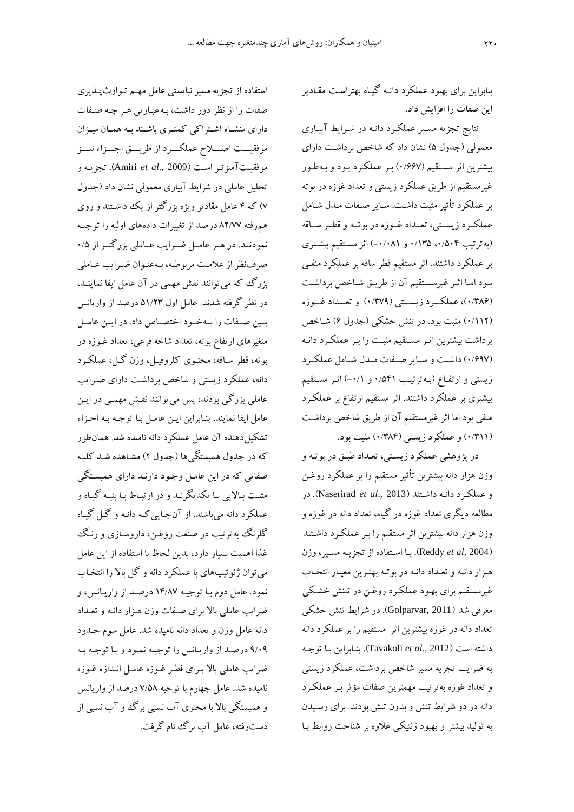بنابراین برای بهبود عملکرد دانـه گیـاه بهتراسـت مقـادیر این صفات را افزایش داد.

نتایج تجزیه مسیر عملکرد دانـه در شـرایط آبیـاری معمولی (جدول ۵) نشان داد که شاخص برداشت دارای بیشترین اثر مسقتقیم ) 2/110( بقر عملکقرد بقود و بقه طقور غیرمستقیم از طری عملکرد زیستی و تعداد غوزه در بوته بر عملکرد تأثیر مثبت داشت. سایر صفات مدل شامل عملکرد زیستی، تعمداد غـوزه در بوتـه و قطـر سـاقه (به ترتیب ۰/۵۰۴، ۱۳۵/۰۵ و ۰/۰/۱) اثر مستقیم بیشتری بر عملکرد داشتند. اثر مستقیم قطر ساقه بر عملکرد منفقی بود اما اثر غیرمستقیم آن از طریق شاخص برداشت )2/291(، عملکقققرد زیسقققتی )2/208( و تعقققداد غقققوزه (۰/۱۱۲) مثبت بود. در تنش خشکی (جدول ۶) شـاخص برداشت بیشترین اثـر مسـتقیم مثبـت را بـر عملکـرد دانـه (۰/۶۹۷) داشت و سایر صفات مدل شامل عملکرد زیستی و ارتفاع (بـهترتیب ۷۵۴۱ و ۰/۱) اثـر مسـتقیم بیشتری بر عملکرد داشتند. اثر مستقیم ارتفای بر عملکقرد منفی بود اما اثر غیرمستقیم آن از طریق شاخص برداشت )2/211( و عملکرد زیستی )2/292( مثبت بود.

در پژوهشی عملکرد زیستی، تعـداد طبـق در بوتـه و وزن هزار دانه بیشترین تأثیر مستقیم را بر عملکرد روغقن و عملکقر د دانقه داشقتند ) 2013 .,*al et* Naserirad). در مطالعه دیگری تعداد غوزه در گیاه، تعداد دانه در غوزه و وزن هزار دانه بیشترین اثر مستقیم را بـر عملکـرد داشـتند )2004 ,*al et* Reddy). بقا اسقتفاده از تجزیقه مسقیر، وزن هـزار دانـه و تعـداد دانـه در بوتـه بهتـرین معیـار انتخـاب غیرمستقیم برای بهبود عملکقرد روغقن در تقنش خشقکی معرفی شد (2011 ,Golparvar). در شرایط تنش خشکی تعداد دانه در غوزه بیشترین اثر مستقیم را بر عملکرد دانه داشته است )2012 .,*al et* Tavakoli). بنقابراین بقا توجقه به ضرایب تجزیه مسیر شاخص برداشت، عملکرد زیستی و تعداد غوزه بهترتیب مهمترین صفات مؤثر بـر عملکـرد دانه در دو شرایط تنش و بدون تنش بودند. برای رسیدن به تولید بیشتر و بهبود ژنتیکی علاوه بر شناخت روابط بـا

استفاده از تجزیه مسیر نبایستی عامل مهقم تقوار پقذ یری صفات را از نظر دور داشت، بـهعبـارتی هـر چـه صـفات دارای منشـاء اشـتراکی کمتـری باشـند بـه همـان میـزان موفقیست اصسلاح عملکسرد از طریسق اجسزاء نیسز موفقیقت آمیزتقر اسقت ) 2009 .,*al et* Amiri). تجزیقه و تحلیل عاملی در شرایط آبیاری معمولی نشان داد (جدول 0( که 2 عامل مقادیر ویژه بزرگتر از یک داشقتند و روی همرفته 94/00 درصد از تغییرات دادههای اولیه را توجیقه نمودنـد. در هـر عامـل ضـرایب عـاملی بزرگتـر از 2/۰ صرفنظر از علامت مربوطه، بـهعنـوان ضـرایب عـاملی بزرگ که می توانند نقش مهمی در آن عامل ایفا نماینـد، در نظر گرفته شدند. عامل اول 61/42 درصد از واریان بیین صنفات را بتهختود اختصناص داد. در ایین عامیل متغیرهای ارتفای بوته، تعداد شاخه فرعی، تعداد غقوزه در بوته، قطر سـاقه، محتـوی کلروفیـل، وزن گـل، عملکـرد دانه، عملکرد زیستی و شاخص برداشت دارای ضـرایب عاملی بزرگی بودند، پس میتوانند نقش مهمـی در ایـن عامل ایفا نمایند. بنـابراین ایـن عامـل بـا توجـه بـه اجـزاء تشکیل دهنده آن عامل عملکرد دانه نامیده شد. همانطور که در جدول همبستگیها (جدول ۲) مشـاهده شـد کلیـه صفاتی که در این عامـل وجـود دارنـد دارای همبسـتگی مثبت بـالایی بـا یکدیگرنـد و در ارتبـاط بـا بنیـه گیـاه و عملکرد دانه میباشند. از آنجایی که دانـه و گـل گیـاه گلرنگ به ترتیب در صنعت روغن، داروسـازی و رنـگ غذا اهمیت بسیار دارد، بدین لحاظ با استفاده از این عامل میتوان ژنوتیپهای با عملکرد دانه و گل باز را انتخقا نمود. عامل دوم بـا توجیـه ۱۴/۸۷ درصـد از واریـانس، و ضرایب عاملی بالا برای صفات وزن هـزار دانـه و تعـداد دانه عامل وزن و تعداد دانه نامیده شد. عامل سوم حقدود ۹/۰۹ درصد از واریانس را توجیه نمود و با توجه به ضرایب عاملی بالا بـرای قطـر غـوزه عامـل انـدازه غـوزه نامیده شد. عامل چهارم با توجیه 0/69 درصد از واریان و همبستگی بالا با محتوی آب نسبی برگ و آب نسبی از دسترفته، عامل آب برگ نام گرفت.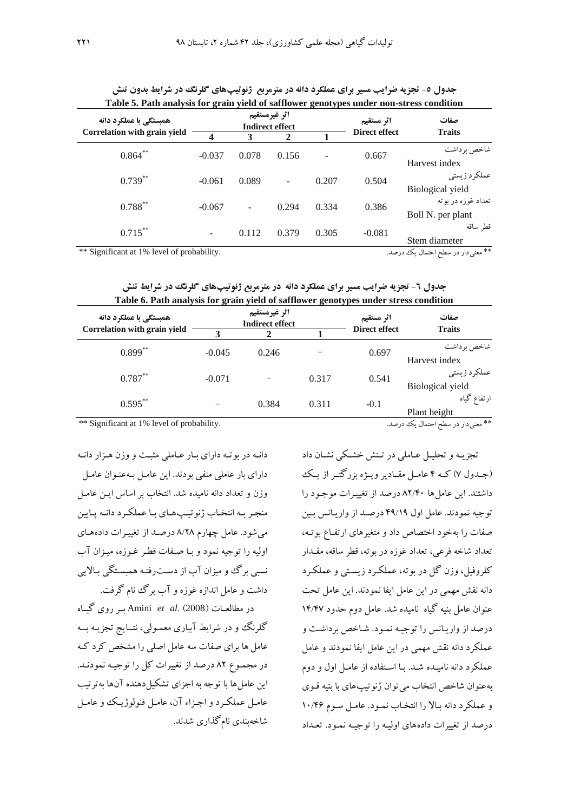| Table 5. Path analysis for grain yield of safflower genotypes under non-stress condition |          |                                     |                                         |       |                             |                                          |  |  |  |  |
|------------------------------------------------------------------------------------------|----------|-------------------------------------|-----------------------------------------|-------|-----------------------------|------------------------------------------|--|--|--|--|
| همبستگی با عملکرد دانه<br>Correlation with grain yield                                   |          |                                     | اثر غيرمستقيم<br><b>Indirect effect</b> |       | اثر مستقيم<br>Direct effect | صفات<br><b>Traits</b>                    |  |  |  |  |
|                                                                                          | 3<br>4   |                                     | $\mathbf{2}$                            |       |                             |                                          |  |  |  |  |
| $0.864***$                                                                               | $-0.037$ | 0.078                               | 0.156                                   |       | 0.667                       | شاخص بر داشت<br>Harvest index            |  |  |  |  |
| $0.739***$                                                                               | $-0.061$ | 0.089                               |                                         | 0.207 | 0.504                       | عملكرد زيستى<br>Biological yield         |  |  |  |  |
| $0.788***$                                                                               | $-0.067$ | $\blacksquare$                      | 0.294                                   | 0.334 | 0.386                       | تعداد غوزه در بو ته<br>Boll N. per plant |  |  |  |  |
| $0.715***$                                                                               |          | 0.112                               | 0.379                                   | 0.305 | $-0.081$                    | قط ساقه<br>Stem diameter                 |  |  |  |  |
| ** Significant at 1% level of probability.                                               |          | ** معنى دار در سطح احتمال يك  درصد. |                                         |       |                             |                                          |  |  |  |  |

جدول **0- تجزیه ضرایب مسیر برای عملکرد دانه در مترمربع ژنوتیپهای گلرنگ در شرایط بدون تنش Table 5. Path analysis for grain yield of safflower genotypes under non-stress condition**

**جدول ٦- تجزیه ضرایب مسیر برای عملکرد دانه در مترمربع ژنوتیپهای گلرنگ در شرایط تنش Table 6. Path analysis for grain yield of safflower genotypes under stress condition**

| $\sim$ general proportions.                            |          |                                         |       |                                    |                       |  |  |  |  |
|--------------------------------------------------------|----------|-----------------------------------------|-------|------------------------------------|-----------------------|--|--|--|--|
| همبستگی با عملکرد دانه<br>Correlation with grain yield |          | اثر غيرمستقيم<br><b>Indirect effect</b> |       | اثر مستقيم<br><b>Direct effect</b> | صفات<br><b>Traits</b> |  |  |  |  |
|                                                        |          | 3                                       |       |                                    |                       |  |  |  |  |
| $0.899***$                                             | $-0.045$ | 0.246                                   |       | 0.697                              | شاخص برداشت           |  |  |  |  |
|                                                        |          |                                         |       |                                    | Harvest index         |  |  |  |  |
| $0.787***$                                             | $-0.071$ |                                         | 0.317 | 0.541                              | عملكرد زيستى          |  |  |  |  |
|                                                        |          |                                         |       |                                    | Biological yield      |  |  |  |  |
| $0.595***$                                             |          | 0.384                                   | 0.311 | $-0.1$                             | ارتفاع گیاه           |  |  |  |  |
|                                                        |          |                                         |       |                                    | Plant height          |  |  |  |  |

\*\* معنیدار در سطح احتمال یک درصد. .probability of level 1% at Significant\*\*

دانـه در بوتـه دارای بـار عـاملی مثبـت و وزن هـزار دانـه دارای بار عاملی منفی بودند. این عامل به عنوان عامل وزن و تعداد دانه نامیده شد. انتخاب بر اساس ایـن عامـل منجر به انتخاب ژنوتیپهای با عملکرد دانـه پایین میشود. عامل چهارم 9/49 درصقد از تغییقرات داده هقای اولیه را توجیه نمود و بـا صـفات قطـر غـوزه، میـزان آب نسبی برگ وو میزان آب از دست رفتـه همبسـتگی بـالایی داشت و عامل اندازه غوزه و آب برگ نام گرفت.

در مطالعقات )2008( .*al et* Amini بققر روی گیققاه گلرنگ و در شرایط آبیاری معمـولی، نتــایج تجزیــه بـــه عامل ها برای صفات سه عامل اصلی را مشخص کرد کـه در مجمقوی 94 درصد از تغییرات کل را توجیقه نمودنقد. این عامل ها با توجه به اجزای تشکیل دهنده آنها بهترتیب عامل عملکرد و اجزاء آن، عامل فنولوژیک و عامل شاخهبندی نامگذاری شدند.

تجزیـه و تحلیـل عـاملی در تـنش خشـکی نشـان داد (جـدول ۷) کـه ۴ عامـل مقـادیر ویـژه بزرگتـر از یـک داشتند. این عاملها 94/22 درصد از تغییقرات موجقود را توجیه نمودند. عامل اول ۴۹/۱۹ درصد از واریانس بین صفات را بهخود اختصاص داد و متغیرهای ارتفـاع بوتـه، تعداد شاخه فرعی، تعداد غوزه در بوته، قطر ساقه، مققدار کلروفیل، وزن گل در بوته، عملکقرد زیسقتی و عملکقرد دانه نقش مهمی در این عامل ایفا نمودند. این عامل تحت عنوان عامل بنیه گیاه نامیده شد. عامل دوم حدود 12/20 درصد از واریـانس را توجیـه نمـود. شـاخص برداشـت و عملکرد دانه نقش مهمی در این عامل ایفا نمودند و عامل عملکرد دانه نامیـده شـد. بـا اسـتفاده از عامـل اول و دوم به عنوان شاخص انتخاب می توان ژنوتیپ های با بنیه قـوی و عملکرد دانه بالا را انتخاب نمود. عامل سوم ۱۰/۴۶ درصد از تغییرات دادههای اولیقه را توجیقه نمقود. تعقداد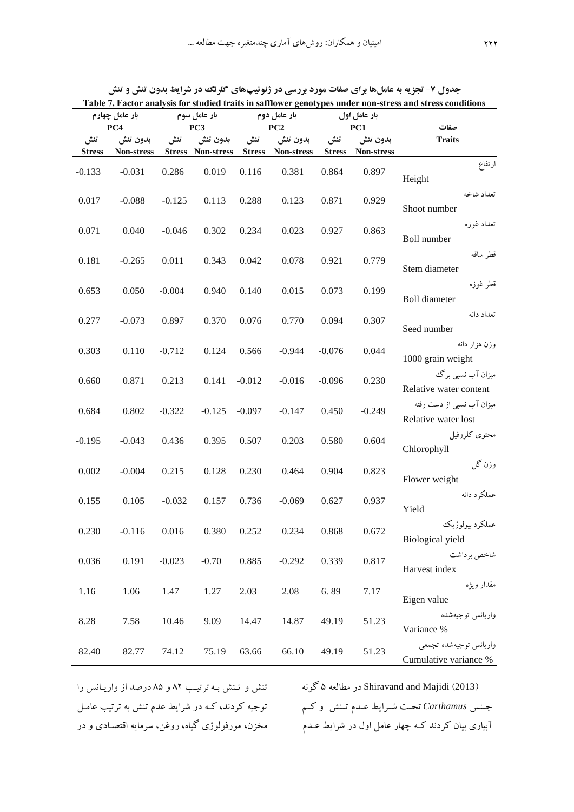|                      | بار عامل چهارم<br>PC4  |          | بار عامل سوم<br>بار عامل دوم<br>PC <sub>3</sub><br>PC2 |                      |                        |                      | بار عامل اول<br>PC1    | countouse generypes ander non seress and seress conditions<br>صفات |
|----------------------|------------------------|----------|--------------------------------------------------------|----------------------|------------------------|----------------------|------------------------|--------------------------------------------------------------------|
| تنش<br><b>Stress</b> | بدون تنش<br>Non-stress | تنش      | بدون تنش<br>Stress Non-stress                          | تنش<br><b>Stress</b> | بدون تنش<br>Non-stress | تنش<br><b>Stress</b> | بدون تنش<br>Non-stress | <b>Traits</b>                                                      |
| $-0.133$             | $-0.031$               | 0.286    | 0.019                                                  | 0.116                | 0.381                  | 0.864                | 0.897                  | ارتفاع<br>Height                                                   |
| 0.017                | $-0.088$               | $-0.125$ | 0.113                                                  | 0.288                | 0.123                  | 0.871                | 0.929                  | تعداد شاخه<br>Shoot number                                         |
| 0.071                | 0.040                  | $-0.046$ | 0.302                                                  | 0.234                | 0.023                  | 0.927                | 0.863                  | تعداد غوزه<br>Boll number                                          |
| 0.181                | $-0.265$               | 0.011    | 0.343                                                  | 0.042                | 0.078                  | 0.921                | 0.779                  | قطر ساقه<br>Stem diameter                                          |
| 0.653                | 0.050                  | $-0.004$ | 0.940                                                  | 0.140                | 0.015                  | 0.073                | 0.199                  | قطر غوزه<br><b>Boll</b> diameter                                   |
| 0.277                | $-0.073$               | 0.897    | 0.370                                                  | 0.076                | 0.770                  | 0.094                | 0.307                  | تعداد دانه<br>Seed number                                          |
| 0.303                | 0.110                  | $-0.712$ | 0.124                                                  | 0.566                | $-0.944$               | $-0.076$             | 0.044                  | وزن هزار دانه<br>1000 grain weight                                 |
| 0.660                | 0.871                  | 0.213    | 0.141                                                  | $-0.012$             | $-0.016$               | $-0.096$             | 0.230                  | میزان آب نسبی برگ<br>Relative water content                        |
| 0.684                | 0.802                  | $-0.322$ | $-0.125$                                               | $-0.097$             | $-0.147$               | 0.450                | $-0.249$               | میزان آب نسبی از دست رفته<br>Relative water lost                   |
| $-0.195$             | $-0.043$               | 0.436    | 0.395                                                  | 0.507                | 0.203                  | 0.580                | 0.604                  | محتوى كلروفيل<br>Chlorophyll                                       |
| 0.002                | $-0.004$               | 0.215    | 0.128                                                  | 0.230                | 0.464                  | 0.904                | 0.823                  | وزن گل<br>Flower weight                                            |
| 0.155                | 0.105                  | $-0.032$ | 0.157                                                  | 0.736                | $-0.069$               | 0.627                | 0.937                  | عملكرد دانه<br>Yield                                               |
| 0.230                | $-0.116$               | 0.016    | 0.380                                                  | 0.252                | 0.234                  | 0.868                | 0.672                  | عملكرد بيولوژيك<br>Biological yield                                |
| 0.036                | 0.191                  | $-0.023$ | $-0.70$                                                | 0.885                | $-0.292$               | 0.339                | 0.817                  | شاخص بر داشت<br>Harvest index                                      |
| 1.16                 | 1.06                   | 1.47     | 1.27                                                   | 2.03                 | 2.08                   | 6.89                 | 7.17                   | مقدار ويژه<br>Eigen value                                          |
| 8.28                 | 7.58                   | 10.46    | 9.09                                                   | 14.47                | 14.87                  | 49.19                | 51.23                  | واريانس توجيهشده<br>Variance %                                     |
| 82.40                | 82.77                  | 74.12    | 75.19                                                  | 63.66                | 66.10                  | 49.19                | 51.23                  | واريانس توجيهشده تجمعي<br>Cumulative variance %                    |

جدول **7- تجزیه به عاملها برای صفات مورد بررسی در ژنوتیپهای گلرنگ در شرایط بدون تنش و تنش Table 7. Factor analysis for studied traits in safflower genotypes under non-stress and stress conditions**

جـنس *Carthamus تحـت شـر*ایط عــدم تــنش و کــم توجیه کردند، کـه در شرایط عدم تنش به ترتیب عامـل تنش و تـنش بـه ترتیـب ۸۲ و ۸۵ درصد از واریـانس را مخزن، مورفولوژی گیاه، روغن، سرمایه اقتصـادی و در

)2013( Majidi and Shiravand در مطالعه 6 گونه آبیاری بیان کردند کـه چهار عامل اول در شرایط عـدم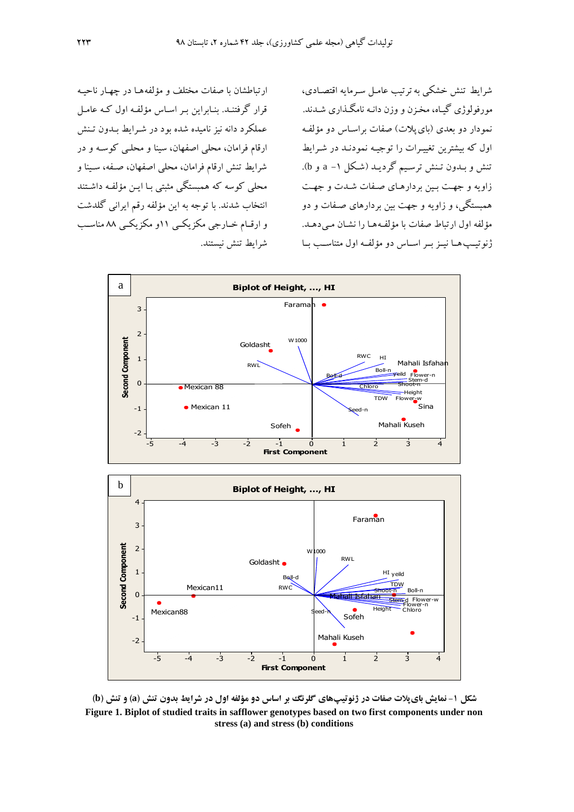ارتباطشان با صفات مختلف و مؤلفههـا در چهـار ناحیـه قرار گرفتنـد. بنـابراین بـر اسـاس مؤلفـه اول کـه عامـل عملکرد دانه نیز نامیده شده بود در شـرایط بـدون تـنش ارقام فرامان، محلی اصفهان، سینا و محلقی کوسقه و در شرای تنش ارقام فرامان، محلی اصفهان، صقفه، سقینا و محلی کوسه که همبستگی مثبتی بـا ایـن مؤلفـه داشـتند انتخاب شدند. با توجه به این مؤلفه رقم ایرانی گلدشت و ارقسام خسارجی مکزیکسی 11و مکزیکسی ۸۸ مناسب شرایط تنش نیستند.

شرایط تنش خشکی به ترتیب عامل سـرمایه اقتصـادی، مورفولوژی گیـاه، مخـزن و وزن دانـه نامگـذاری شـدند. نمودار دو بعدی (بای پلات) صفات براسـاس دو مؤلفـه اول که بیشترین تغییرات را توجیـه نمودنـد در شـرایط تنش و بقدون تقنش ترسقیم گردیقد )شقکل -1<sup>a</sup> و b). زاویه و جهت بین بردارهای صفات شدت و جهت همبستگی، و زاویه و جهت بین بردارهای صقفات و دو مؤلفه اول ارتباط صفات با مؤلفهها را نشان می دهد. ژنوتیپ هـا نیــز بــر اســاس دو مؤلفــه اول متناســب بــا



شکل ۱- نمایش بایپلات صفات در ژنوتیپهای گلرنگ بر اساس دو مؤلفه اول در شرایط بدون تنش (a) و تنش (b) **Figure 1. Biplot of studied traits in safflower genotypes based on two first components under non stress (a) and stress (b) conditions**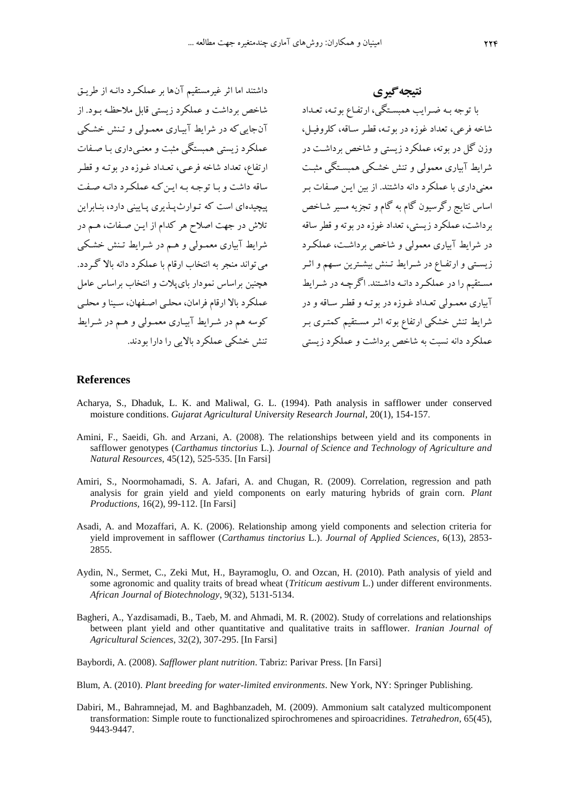داشتند اما اثر غیرمستقیم آنها بر عملکرد دانـه از طریـق شاخص برداشت و عملکرد زیستی قابل ملاحظه بـود. از آنجایی که در شرایط آبیاری معمولی و تنش خشکی عملکرد زیستی همبستگی مثبت و معنبی داری با صفات ارتفاع، تعداد شاخه فرعبی، تعـداد غـوزه در بوتـه و قطـر ساقه داشت و با توجه به این که عملکرد دانـه صـفت پیچیدهای است که توارث پلذیری پایینی دارد، بنابراین تالش در جهت اصالح هر کدام از ایقن صقفات، هقم در شرایط آبیاری معمـولی و هـم در شـرایط تـنش خشـکی می تواند منجر به انتخاب ارقام با عملکرد دانه بالا گردد. هیجنین براساس نمودار بای پلات و انتخاب براساس عامل عملکرد باز ارقام فرامان، محلقی اصقفهان، سقینا و محلقی کوسه هم در شرایط آبیاری معمولی و هم در شرایط تنش خشکی عملکرد بازیی را دارا بودند.

**نتیجهگیری** با توجه بـه ضـرایب همبسـتگی، ارتفـاع بوتـه، تعـداد شاخه فرعی، تعداد غوزه در بوتقه، قطقر سقاقه، کلروفیقل، وزن گل در بو ته، عملکرد زیستی و شاخص برداشت در شرایط آبیاری معمولی و تنش خشکی همبستگی مثبت معنی داری با عملکرد دانه داشتند. از بین ایـن صـفات بـر اساس نتایج رگرسیون گام به گام و تجزیه مسیر شـاخص برداشت، عملکرد زیستی، تعداد غوزه در بوته و قطر ساقه در شرایط آبیاری معمولی و شاخص برداشت، عملکرد زیستی و ارتفـاع در شـرایط تـنش بیشـترین سـهم و اثـر مستقیم را در عملکرد دانـه داشـتند. اگرچـه در شـرایط آبیاری معمـولی تعـداد غـوزه در بوتـه و قطـر سـاقه و در شرایط تنش خشکی ارتفاع بوته اثـر مسـتقیم کمتـری بـر عملکرد دانه نسبت به شاخص برداشت و عملکرد زیستی

#### **References**

- Acharya, S., Dhaduk, L. K. and Maliwal, G. L. (1994). Path analysis in safflower under conserved moisture conditions. *Gujarat Agricultural University Research Journal*, 20(1), 154-157.
- Amini, F., Saeidi, Gh. and Arzani, A. (2008). The relationships between yield and its components in safflower genotypes (*Carthamus tinctorius* L.). *Journal of Science and Technology of Agriculture and Natural Resources*, 45(12), 525-535. [In Farsi]
- Amiri, S., Noormohamadi, S. A. Jafari, A. and Chugan, R. (2009). Correlation, regression and path analysis for grain yield and yield components on early maturing hybrids of grain corn. *Plant Productions,* 16(2), 99-112. [In Farsi]
- Asadi, A. and Mozaffari, A. K. (2006). Relationship among yield components and selection criteria for yield improvement in safflower (*Carthamus tinctorius* L.). *Journal of Applied Sciences*, 6(13), 2853- 2855.
- Aydin, N., Sermet, C., Zeki Mut, H., Bayramoglu, O. and Ozcan, H. (2010). Path analysis of yield and some agronomic and quality traits of bread wheat (*Triticum aestivum* L.) under different environments. *African Journal of Biotechnology*, 9(32), 5131-5134.
- Bagheri, A., Yazdisamadi, B., Taeb, M. and Ahmadi, M. R. (2002). Study of correlations and relationships between plant yield and other quantitative and qualitative traits in safflower. *Iranian Journal of Agricultural Sciences*, 32(2), 307-295. [In Farsi]
- Baybordi, A. (2008). *Safflower plant nutrition*. Tabriz: Parivar Press. [In Farsi]
- Blum, A. (2010). *Plant breeding for water-limited environments*. New York, NY: Springer Publishing.
- Dabiri, M., Bahramnejad, M. and Baghbanzadeh, M. (2009). Ammonium salt catalyzed multicomponent transformation: Simple route to functionalized spirochromenes and spiroacridines. *Tetrahedron*, 65(45), 9443-9447.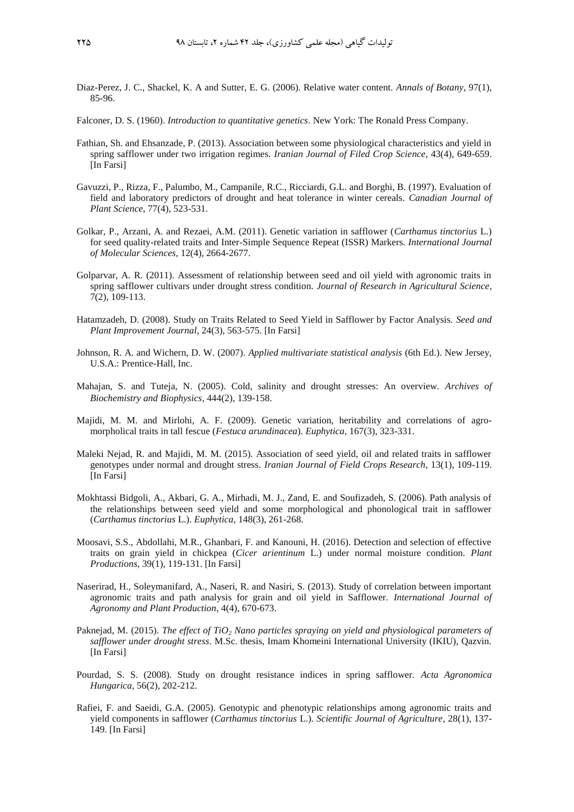- Diaz-Perez, J. C., Shackel, K. A and Sutter, E. G. (2006). Relative water content. *Annals of Botany*, 97(1), 85-96.
- Falconer, D. S. (1960). *Introduction to quantitative genetics*. New York: The Ronald Press Company.
- Fathian, Sh. and Ehsanzade, P. (2013). Association between some physiological characteristics and yield in spring safflower under two irrigation regimes. *Iranian Journal of Filed Crop Science*, 43(4), 649-659. [In Farsi]
- Gavuzzi, P., Rizza, F., Palumbo, M., Campanile, R.C., Ricciardi, G.L. and Borghi, B. (1997). Evaluation of field and laboratory predictors of drought and heat tolerance in winter cereals. *Canadian Journal of Plant Science*, 77(4), 523-531.
- Golkar, P., Arzani, A. and Rezaei, A.M. (2011). Genetic variation in safflower (*Carthamus tinctorius* L.) for seed quality-related traits and Inter-Simple Sequence Repeat (ISSR) Markers. *International Journal of Molecular Sciences*, 12(4), 2664-2677.
- Golparvar, A. R. (2011). Assessment of relationship between seed and oil yield with agronomic traits in spring safflower cultivars under drought stress condition. *Journal of Research in Agricultural Science*, 7(2), 109-113.
- Hatamzadeh, D. (2008). Study on Traits Related to Seed Yield in Safflower by Factor Analysis. *Seed and Plant Improvement Journal*, 24(3), 563-575. [In Farsi]
- Johnson, R. A. and Wichern, D. W. (2007). *Applied multivariate statistical analysis* (6th Ed.). New Jersey, U.S.A.: Prentice-Hall, Inc.
- Mahajan, S. and Tuteja, N. (2005). Cold, salinity and drought stresses: An overview. *Archives of Biochemistry and Biophysics,* 444(2), 139-158.
- Majidi, M. M. and Mirlohi, A. F. (2009). Genetic variation, heritability and correlations of agromorpholical traits in tall fescue (*Festuca arundinacea*). *Euphytica*, 167(3), 323-331.
- Maleki Nejad, R. and Majidi, M. M. (2015). Association of seed yield, oil and related traits in safflower genotypes under normal and drought stress. *Iranian Journal of Field Crops Research*, 13(1), 109-119. [In Farsi]
- Mokhtassi Bidgoli, A., Akbari, G. A., Mirhadi, M. J., Zand, E. and Soufizadeh, S. (2006). Path analysis of the relationships between seed yield and some morphological and phonological trait in safflower (*Carthamus tinctorius* L.). *Euphytica*, 148(3), 261-268.
- Moosavi, S.S., Abdollahi, M.R., Ghanbari, F. and Kanouni, H. (2016). Detection and selection of effective traits on grain yield in chickpea (*Cicer arientinum* L.) under normal moisture condition. *Plant Productions*, 39(1), 119-131. [In Farsi]
- Naserirad, H., Soleymanifard, A., Naseri, R. and Nasiri, S. (2013). Study of correlation between important agronomic traits and path analysis for grain and oil yield in Safflower. *International Journal of Agronomy and Plant Production*, 4(4), 670-673.
- Paknejad, M. (2015). *The effect of TiO<sup>2</sup> Nano particles spraying on yield and physiological parameters of safflower under drought stress*. M.Sc. thesis, Imam Khomeini International University (IKIU), Qazvin. [In Farsi]
- Pourdad, S. S. (2008). Study on drought resistance indices in spring safflower. *Acta Agronomica Hungarica*, 56(2), 202-212.
- Rafiei, F. and Saeidi, G.A. (2005). Genotypic and phenotypic relationships among agronomic traits and yield components in safflower (*Carthamus tinctorius* L.). *Scientific Journal of Agriculture*, 28(1), 137- 149. [In Farsi]